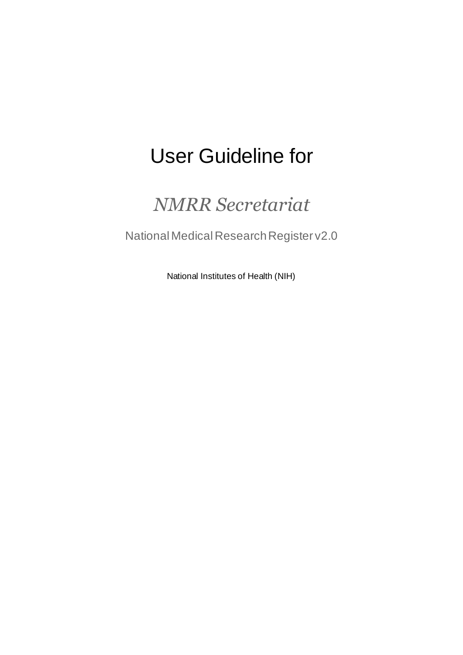# User Guideline for

## *NMRR Secretariat*

National Medical Research Register v2.0

National Institutes of Health (NIH)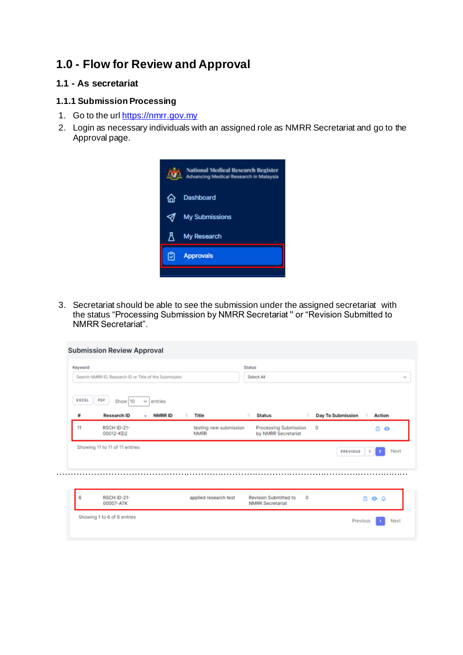## **1.0 - Flow for Review and Approval**

#### **1.1 - As secretariat**

#### **1.1.1 Submission Processing**

- 1. Go to the url [https://nmrr.gov.my](https://nmrr.gov.my/)
- 2. Login as necessary individuals with an assigned role as NMRR Secretariat and go to the Approval page.



3. Secretariat should be able to see the submission under the assigned secretariat with the status "Processing Submission by NMRR Secretariat '' or "Revision Submitted to NMRR Secretariat".

| Keyword    | Search NMRR ID, Research ID or Title of the Submission |                                    |                                       | <b>Status</b><br>Select All                      |         |                          |                   |
|------------|--------------------------------------------------------|------------------------------------|---------------------------------------|--------------------------------------------------|---------|--------------------------|-------------------|
| EXCEL<br>m | PDF<br>Show 10<br><b>Research ID</b>                   | entries<br>٧<br><b>NMRRID</b><br>٠ | <b>Title</b>                          | <b>Status</b>                                    |         | <b>Day To Submission</b> | <b>Action</b>     |
| 11         | RSCH ID-21-<br>00012-KD2                               |                                    | testing new submission<br><b>NMRR</b> | Processing Submission<br>by NMRR Secretariat     |         | o                        | Ō<br>$\bullet$    |
|            | Showing 11 to 11 of 11 entries                         |                                    |                                       |                                                  |         | PREVIOUS                 | Next<br>ż<br>٠    |
| 6          | RSCH ID-21-<br>00007-ATK                               |                                    | applied research test                 | Revision Submitted to<br><b>NMRR</b> Secretariat | $\circ$ | ñ                        | $\bullet$ $\circ$ |
|            |                                                        |                                    |                                       |                                                  |         |                          |                   |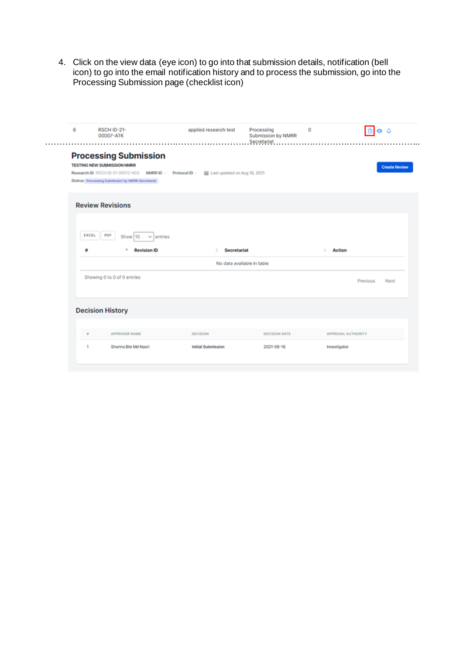4. Click on the view data (eye icon) to go into that submission details, notification (bell icon) to go into the email notification history and to process the submission, go into the Processing Submission page (checklist icon)

| 6 |                                                                                                           |                    |                              |                                                 |                    |                      |
|---|-----------------------------------------------------------------------------------------------------------|--------------------|------------------------------|-------------------------------------------------|--------------------|----------------------|
|   | RSCH ID-21-<br>00007-ATK                                                                                  |                    | applied research test        | Processing<br>Submission by NMRR<br>Secretariat | 0                  | ه ه                  |
|   | <b>Processing Submission</b><br>TESTING NEW SUBMISSION NMRR<br>Research ID RSCH ID-21-00012-KD2 NMRR ID - | Protocol ID -      | Last updated on Aug 16, 2021 |                                                 |                    | <b>Create Review</b> |
|   | Status Processing Submission by NMRR Secretariat                                                          |                    |                              |                                                 |                    |                      |
|   | <b>Review Revisions</b>                                                                                   |                    |                              |                                                 |                    |                      |
|   | PDF<br>EXCEL<br>Show 10                                                                                   | $\vee$ entries     |                              |                                                 |                    |                      |
| 茸 |                                                                                                           | <b>Revision ID</b> | <b>Secretariat</b>           |                                                 | <b>Action</b>      |                      |
|   |                                                                                                           |                    |                              |                                                 |                    |                      |
|   |                                                                                                           |                    | No data available in table   |                                                 |                    |                      |
|   | Showing 0 to 0 of 0 entries                                                                               |                    |                              |                                                 | Previous           | Next                 |
|   | <b>Decision History</b>                                                                                   |                    |                              |                                                 |                    |                      |
| ٠ | APPROVER NAME                                                                                             |                    | <b>DECISION</b>              | <b>DECISION DATE</b>                            | APPROVAL AUTHORITY |                      |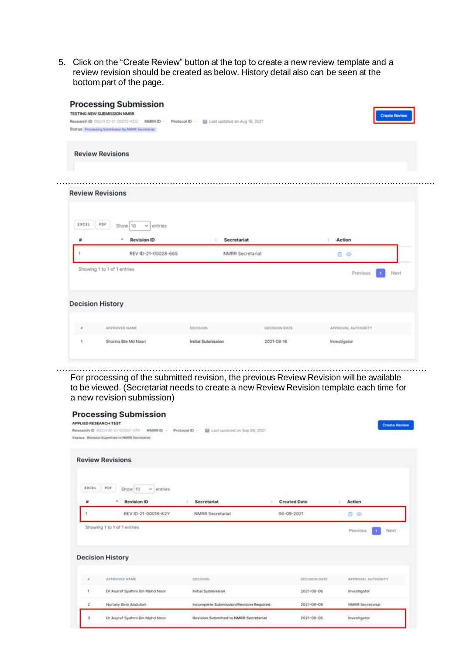5. Click on the "Create Review" button at the top to create a new review template and a review revision should be created as below. History detail also can be seen at the bottom part of the page.

| <b>TESTING NEW SUBMISSION NMRR</b> | <b>Processing Submission</b>                     |                           |                              |                      |               |                    | <b>Create Review</b> |
|------------------------------------|--------------------------------------------------|---------------------------|------------------------------|----------------------|---------------|--------------------|----------------------|
|                                    | Research ID RSCH ID-21-00012-KD2 NMRR ID -       | Protocol ID -             | Last updated on Aug 16, 2021 |                      |               |                    |                      |
|                                    | Status Processing Submission by NMRR Secretariat |                           |                              |                      |               |                    |                      |
| <b>Review Revisions</b>            |                                                  |                           |                              |                      |               |                    |                      |
|                                    |                                                  |                           |                              |                      |               |                    |                      |
|                                    |                                                  |                           |                              |                      |               |                    |                      |
| <b>Review Revisions</b>            |                                                  |                           |                              |                      |               |                    |                      |
|                                    |                                                  |                           |                              |                      |               |                    |                      |
|                                    |                                                  |                           |                              |                      |               |                    |                      |
|                                    |                                                  |                           |                              |                      |               |                    |                      |
| <b>EXCEL</b><br>PDF                | Show 10<br>entries<br>v.                         |                           |                              |                      |               |                    |                      |
| ᠰ                                  | ٠<br><b>Revision ID</b>                          | ٠                         | <b>Secretariat</b>           |                      | <b>Action</b> |                    |                      |
|                                    | REV ID-21-00028-66S                              |                           | <b>NMRR</b> Secretariat      |                      | ۵<br>$\circ$  |                    |                      |
|                                    | Showing 1 to 1 of 1 entries                      |                           |                              |                      |               | Previous           | Next                 |
|                                    |                                                  |                           |                              |                      |               |                    |                      |
|                                    |                                                  |                           |                              |                      |               |                    |                      |
| <b>Decision History</b>            |                                                  |                           |                              |                      |               |                    |                      |
| $\alpha$                           | APPROVER NAME                                    | <b>DECISION</b>           |                              | <b>DECISION DATE</b> |               | APPROVAL AUTHORITY |                      |
| 1                                  | Sharina Bte Md Nasri                             | <b>Initial Submission</b> |                              | 2021-08-16           | Investigator  |                    |                      |

………………………………………………………………………………………………………………… For processing of the submitted revision, the previous Review Revision will be available to be viewed. (Secretariat needs to create a new Review Revision template each time for a new revision submission)

|              | <b>Processing Submission</b><br><b>APPLIED RESEARCH TEST</b><br>Research ID RSCH ID-21-00007-ATK<br>NMRR ID -<br>Status Revision Submitted to NMRR Secretariat | Last updated on Sep 06, 2021<br>Protocol ID - |                     | <b>Create Review</b> |
|--------------|----------------------------------------------------------------------------------------------------------------------------------------------------------------|-----------------------------------------------|---------------------|----------------------|
|              | <b>Review Revisions</b>                                                                                                                                        |                                               |                     |                      |
| EXCEL        | PDF<br>Show 10<br>$\vee$ entries<br><b>Revision ID</b><br>٠                                                                                                    | <b>Secretariat</b>                            | <b>Created Date</b> | Action               |
|              | REV ID-21-00016-K2Y                                                                                                                                            | <b>NMRR Secretariat</b>                       | 06-09-2021          | û<br>$\circ$         |
|              | Showing 1 to 1 of 1 entries                                                                                                                                    |                                               |                     | Previous<br>Next     |
|              | <b>Decision History</b>                                                                                                                                        |                                               |                     |                      |
| ×            | APPROVER NAME                                                                                                                                                  | DECISION                                      | DECISION DATE       | APPROVAL AUTHORITY   |
| $\mathbf{1}$ | Dr Asyraf Syahmi Bin Mohd Noor                                                                                                                                 | Initial Submission                            | 2021-09-06          | Investigator         |
|              |                                                                                                                                                                |                                               |                     |                      |
| $\mathbf{2}$ | Nurlaily Binti Abdullah                                                                                                                                        | Incomplete Submission/Revision Required       | 2021-09-06          | NMRR Secretariat     |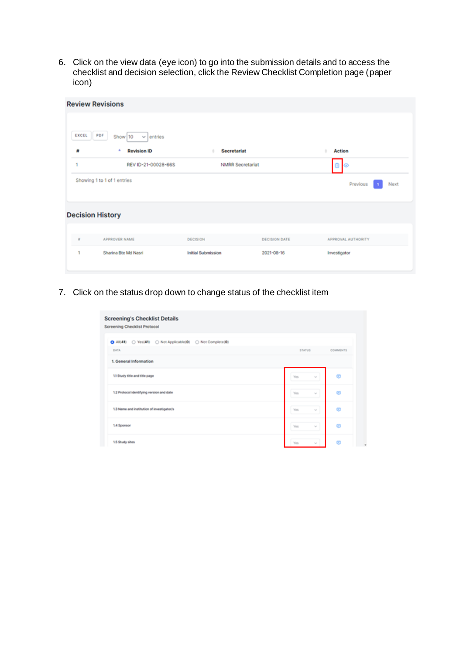6. Click on the view data (eye icon) to go into the submission details and to access the checklist and decision selection, click the Review Checklist Completion page (paper icon)

|          | <b>Review Revisions</b>          |                           |                      |                    |
|----------|----------------------------------|---------------------------|----------------------|--------------------|
| EXCEL    | PDF<br>Show 10<br>$\vee$ entries |                           |                      |                    |
| ₩        | <b>Revision ID</b>               | <b>Secretariat</b>        |                      | <b>Action</b>      |
| ٠        | REV ID-21-00028-66S              | <b>NMRR Secretariat</b>   |                      | ⊚                  |
|          | Showing 1 to 1 of 1 entries      |                           |                      | Previous<br>Next   |
|          | <b>Decision History</b>          |                           |                      |                    |
| $\alpha$ | APPROVER NAME                    | DECISION                  | <b>DECISION DATE</b> | APPROVAL AUTHORITY |
| 1        | Sharina Bte Md Nasri             | <b>Initial Submission</b> | 2021-08-16           | Investigator       |

7. Click on the status drop down to change status of the checklist item

| <b>Screening's Checklist Details</b><br><b>Screening Checklist Protocol</b> |                 |                 |
|-----------------------------------------------------------------------------|-----------------|-----------------|
| All(41) O Yes(41) O Not Applicable(0) O Not Complete(0)<br>DATA             | <b>STATUS</b>   | <b>COMMENTS</b> |
| 1. General Information                                                      |                 |                 |
| 1.1 Study title and title page                                              | Yes.<br>$\sim$  | œ               |
| 1.2 Protocol identifying version and date                                   | Yes<br>$\sim$   | œ               |
| 1.3 Name and institution of investigator/s                                  | Yes.<br>$\sim$  | œ               |
| 1.4 Sponsor                                                                 | <b>Yan</b><br>w | œ               |
| 1.5 Study sites                                                             | Yes.<br>w       | œ               |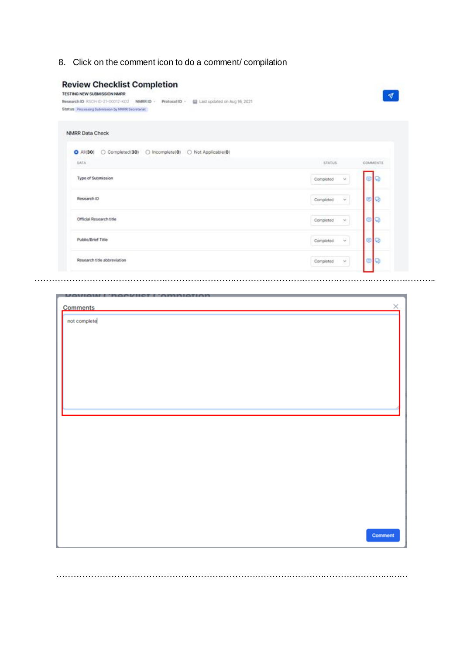8. Click on the comment icon to do a comment/ compilation

|                               | <b>Review Checklist Completion</b> |
|-------------------------------|------------------------------------|
| TESTING NEW SHIBMISSION NURBS |                                    |

| <b>I ED I INU NEW DUBWIDOUW NIMBOR</b>           |  |                                               |
|--------------------------------------------------|--|-----------------------------------------------|
| Research ID RSCH ID-21-00012-KD2 NMRR ID -       |  | Protocol ID - El Last updated on Aug 16, 2021 |
| Status Processing Submission by NMRR Secretariat |  |                                               |

| ○ Completed(30) ○ Incomplete(0) ○ Not Applicable(0)<br>$O$ Ali(30)                         |                            |                                  |
|--------------------------------------------------------------------------------------------|----------------------------|----------------------------------|
| DATA.<br>- - - -                                                                           | STATUS:<br>-22043          | 50 104 52 C.C<br><b>COMMENTS</b> |
| Type of Submission                                                                         | Ň.<br>Completed            | OQ                               |
| Research ID<br>makaland                                                                    | ¥.<br>Completed            | ε                                |
| <b>CONTRACTOR CONTRACTOR</b><br>Official Research title<br>1992년 12월 12일 : 12월 12일 12월 12일 | Completed<br>$\mathcal{M}$ | <b>G</b> IS                      |
| Public/Brief Title                                                                         | Ŵ.<br>Completed            | UV                               |

 $\blacktriangleleft$ 

| <b>UAVIAM L'hAAVIIET L</b><br><b>OMMOTIO</b> |          |
|----------------------------------------------|----------|
| <b>Comments</b>                              | $\times$ |
|                                              |          |
| not complete                                 |          |
|                                              |          |
|                                              |          |
|                                              |          |
|                                              |          |
|                                              |          |
|                                              |          |
|                                              |          |
|                                              |          |
|                                              |          |
|                                              |          |
|                                              |          |
|                                              |          |
|                                              |          |
|                                              |          |
|                                              |          |
|                                              |          |
|                                              |          |
|                                              |          |
|                                              |          |
|                                              |          |
|                                              |          |
|                                              |          |
|                                              |          |
|                                              |          |
|                                              |          |
|                                              |          |
|                                              |          |
|                                              |          |
|                                              |          |
|                                              | Comment  |
|                                              |          |
|                                              |          |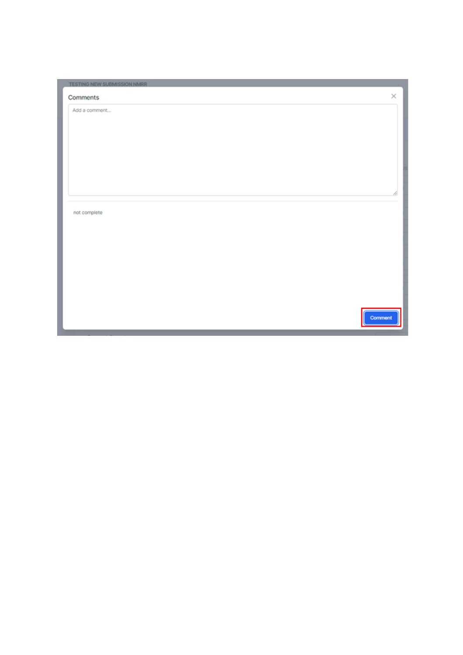| TESTING NEW SUBMISSION NMRR |         |
|-----------------------------|---------|
| Comments                    | ×       |
| Add a comment               |         |
|                             |         |
|                             |         |
|                             |         |
|                             |         |
|                             |         |
|                             | 6.      |
| not complete                |         |
|                             |         |
|                             |         |
|                             |         |
|                             |         |
|                             |         |
|                             |         |
|                             |         |
|                             | Comment |
|                             |         |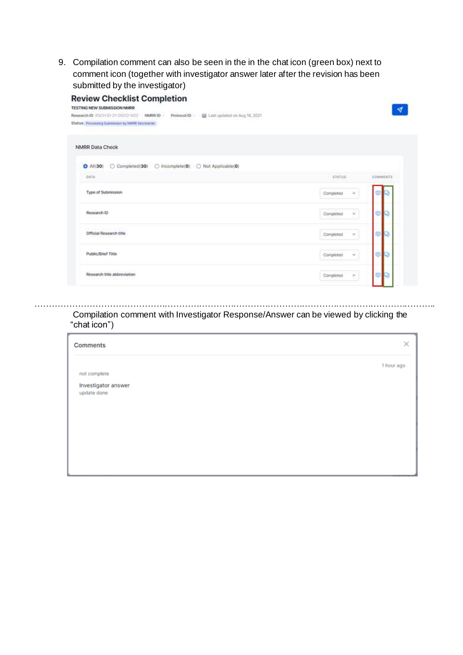9. Compilation comment can also be seen in the in the chat icon (green box) next to comment icon (together with investigator answer later after the revision has been submitted by the investigator)

| <b>Review Checklist Completion</b><br>TESTING NEW SUBMISSION NMRR                                                                               |                     |           |
|-------------------------------------------------------------------------------------------------------------------------------------------------|---------------------|-----------|
| Last updated on Aug 16, 2021<br>Research ID RSCH ID-21-00012-KD2 NMRR ID -<br>Protocol ID -<br>Status Processing Submission by NMRR Secretariat |                     |           |
| <b>NMRR Data Check</b>                                                                                                                          |                     |           |
| ○ Completed(30) ○ Incomplete(0) ○ Not Applicable(0)<br>$O$ Ali(30)                                                                              |                     |           |
| <b>DATA</b>                                                                                                                                     | <b>STATUS</b><br>   | COMMENTS  |
| Type of Submission                                                                                                                              | Completed<br>$\sim$ | c         |
| Research ID                                                                                                                                     | Completed<br>×      | €         |
| [프린터 20] YOU WANT A LETTER<br>Official Research title                                                                                           | Completed<br>×      | ⋐         |
| Public/Brief Title                                                                                                                              | Completed<br>$\sim$ | $\bullet$ |
| Research title abbreviation                                                                                                                     | Completed<br>×      | e         |

### Compilation comment with Investigator Response/Answer can be viewed by clicking the "chat icon")

…………………………………………………………………………………………………………………………..

| Comments                           | ×          |
|------------------------------------|------------|
| not complete                       | 1 hour ago |
| Investigator answer<br>update done |            |
|                                    |            |
|                                    |            |
|                                    |            |
|                                    |            |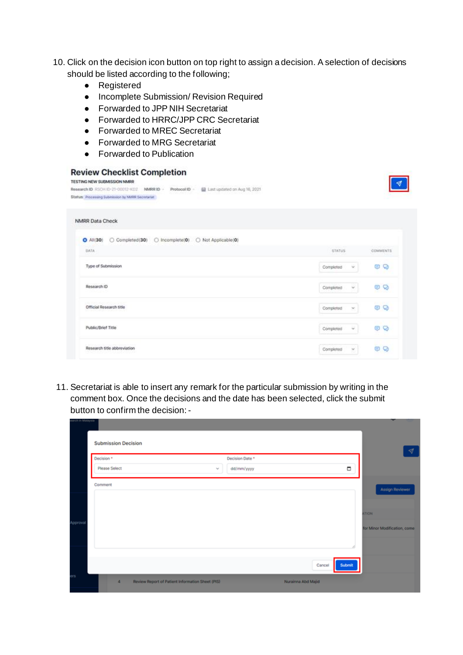- 10. Click on the decision icon button on top right to assign a decision. A selection of decisions should be listed according to the following;
	- Registered
	- Incomplete Submission/ Revision Required
	- Forwarded to JPP NIH Secretariat
	- Forwarded to HRRC/JPP CRC Secretariat
	- Forwarded to MREC Secretariat
	- Forwarded to MRG Secretariat
	- Forwarded to Publication

#### **Review Checklist Completion**

| TESTING NEW SUBMISSION NMRR<br>China Li Sebissimiumi<br>Research ID RSCH ID-21-00012-KD2<br>Last updated on Aug 16, 2021<br>Protocol ID -<br>NIMRR ID - |                       |              |
|---------------------------------------------------------------------------------------------------------------------------------------------------------|-----------------------|--------------|
| Status Processing Submission by NMRR Secretariat                                                                                                        |                       |              |
| <b>NMRR Data Check</b>                                                                                                                                  |                       |              |
| ○ Completed(30) ○ Incomplete(0) ○ Not Applicable(0)<br>$O$ Ali(30)                                                                                      |                       |              |
| DATA                                                                                                                                                    | STATUS.               | COMMENTS     |
| Type of Submission                                                                                                                                      | Ý.<br>Completed       | o<br>Θ       |
| Research ID                                                                                                                                             | Completed<br>۷        | €<br>Q       |
| 2424234933000000000<br>Official Research title                                                                                                          | Completed<br>M.       | Θ<br>$\circ$ |
| Public/Brief Title                                                                                                                                      | Completed<br>$\omega$ | Θ<br>$\circ$ |
| Research title abbreviation                                                                                                                             | Completed<br>×        | Θ<br>Q       |

11. Secretariat is able to insert any remark for the particular submission by writing in the comment box. Once the decisions and the date has been selected, click the submit button to confirm the decision:-

| arch in Malaysia |                            |                                                  |                 |                    |        | --                           |
|------------------|----------------------------|--------------------------------------------------|-----------------|--------------------|--------|------------------------------|
|                  | <b>Submission Decision</b> |                                                  |                 |                    |        | ∢                            |
|                  | Decision *                 |                                                  | Decision Date * |                    |        |                              |
|                  | Please Select              | $\sim$                                           | dd/mm/yyyy      |                    | о      |                              |
|                  | Comment                    |                                                  |                 |                    |        | Assign Reviewer              |
|                  |                            |                                                  |                 |                    |        |                              |
|                  |                            |                                                  |                 |                    |        | <b>ATION</b>                 |
| Approval         |                            |                                                  |                 |                    |        | for Minor Modification, come |
|                  |                            |                                                  |                 |                    |        |                              |
|                  |                            |                                                  |                 |                    |        |                              |
|                  |                            |                                                  |                 | Cancel             | Submit |                              |
| ers              |                            |                                                  |                 |                    |        |                              |
|                  | $\Delta$                   | Review Report of Patient Information Sheet (PIS) |                 | Nurainna Abd Majid |        |                              |